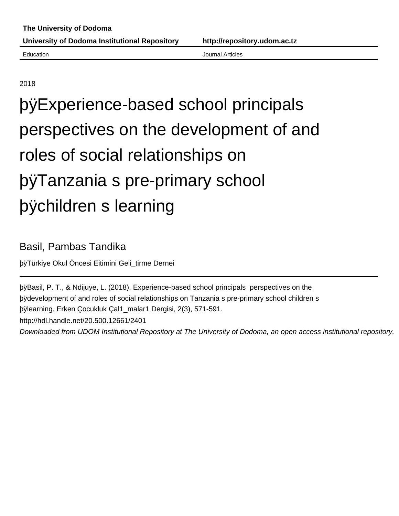2018

# þÿExperience-based school prin perspectives on the development of and roles of social relationships on þÿTanzania s pre-primary school þÿchildren s learning

## Basil, Pambas Tandika

þÿTürkiye Okul Öncesi Eitimini Geli\_tirme Dernei

þÿBasil, P. T., & Ndijuye, L. (2018). Experience-based school principals p bydevelopment of and roles of social relationships on Tanzania s pre-prima þÿlearning. Erken Çocukluk Çal1\_malar1 Dergisi, 2(3), 571-591. http://hdl.handle.net/20.500.12661/2401

Downloaded from UDOM Institutional Repository at The University of Dodoma, an open access institutional repository.